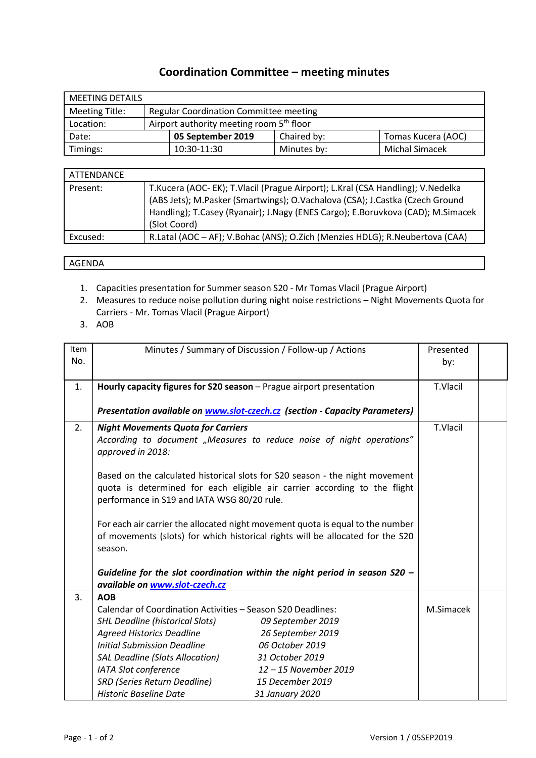## **Coordination Committee – meeting minutes**

| <b>MEETING DETAILS</b> |                                                      |                                               |             |                       |  |  |
|------------------------|------------------------------------------------------|-----------------------------------------------|-------------|-----------------------|--|--|
| <b>Meeting Title:</b>  |                                                      | <b>Regular Coordination Committee meeting</b> |             |                       |  |  |
| Location:              | Airport authority meeting room 5 <sup>th</sup> floor |                                               |             |                       |  |  |
| Date:                  |                                                      | 05 September 2019                             | Chaired by: | Tomas Kucera (AOC)    |  |  |
| Timings:               |                                                      | 10:30-11:30                                   | Minutes by: | <b>Michal Simacek</b> |  |  |

| ATTENDANCE |                                                                                                                                                                                                                                                                   |  |  |  |
|------------|-------------------------------------------------------------------------------------------------------------------------------------------------------------------------------------------------------------------------------------------------------------------|--|--|--|
| Present:   | T.Kucera (AOC-EK); T.Vlacil (Prague Airport); L.Kral (CSA Handling); V.Nedelka<br>(ABS Jets); M.Pasker (Smartwings); O.Vachalova (CSA); J.Castka (Czech Ground<br>Handling); T.Casey (Ryanair); J.Nagy (ENES Cargo); E.Boruvkova (CAD); M.Simacek<br>(Slot Coord) |  |  |  |
| Excused:   | R.Latal (AOC - AF); V.Bohac (ANS); O.Zich (Menzies HDLG); R.Neubertova (CAA)                                                                                                                                                                                      |  |  |  |

## AGENDA

- 1. Capacities presentation for Summer season S20 Mr Tomas Vlacil (Prague Airport)
- 2. Measures to reduce noise pollution during night noise restrictions Night Movements Quota for Carriers - Mr. Tomas Vlacil (Prague Airport)
- 3. AOB

| Item<br>No. | Minutes / Summary of Discussion / Follow-up / Actions                                                                                                                                                    | Presented<br>by: |  |
|-------------|----------------------------------------------------------------------------------------------------------------------------------------------------------------------------------------------------------|------------------|--|
| 1.          | Hourly capacity figures for S20 season - Prague airport presentation                                                                                                                                     | T.Vlacil         |  |
|             |                                                                                                                                                                                                          |                  |  |
|             | Presentation available on www.slot-czech.cz (section - Capacity Parameters)                                                                                                                              |                  |  |
| 2.          | <b>Night Movements Quota for Carriers</b>                                                                                                                                                                | T.Vlacil         |  |
|             | According to document "Measures to reduce noise of night operations"<br>approved in 2018:                                                                                                                |                  |  |
|             | Based on the calculated historical slots for S20 season - the night movement<br>quota is determined for each eligible air carrier according to the flight<br>performance in S19 and IATA WSG 80/20 rule. |                  |  |
|             | For each air carrier the allocated night movement quota is equal to the number<br>of movements (slots) for which historical rights will be allocated for the S20<br>season.                              |                  |  |
|             | Guideline for the slot coordination within the night period in season $S20$ -                                                                                                                            |                  |  |
|             | available on www.slot-czech.cz                                                                                                                                                                           |                  |  |
| 3.          | <b>AOB</b>                                                                                                                                                                                               |                  |  |
|             | Calendar of Coordination Activities - Season S20 Deadlines:                                                                                                                                              | M.Simacek        |  |
|             | <b>SHL Deadline (historical Slots)</b><br>09 September 2019                                                                                                                                              |                  |  |
|             | <b>Agreed Historics Deadline</b><br>26 September 2019                                                                                                                                                    |                  |  |
|             | <b>Initial Submission Deadline</b><br>06 October 2019                                                                                                                                                    |                  |  |
|             | <b>SAL Deadline (Slots Allocation)</b><br>31 October 2019                                                                                                                                                |                  |  |
|             | IATA Slot conference<br>12-15 November 2019                                                                                                                                                              |                  |  |
|             | <b>SRD (Series Return Deadline)</b><br>15 December 2019                                                                                                                                                  |                  |  |
|             | <b>Historic Baseline Date</b><br>31 January 2020                                                                                                                                                         |                  |  |